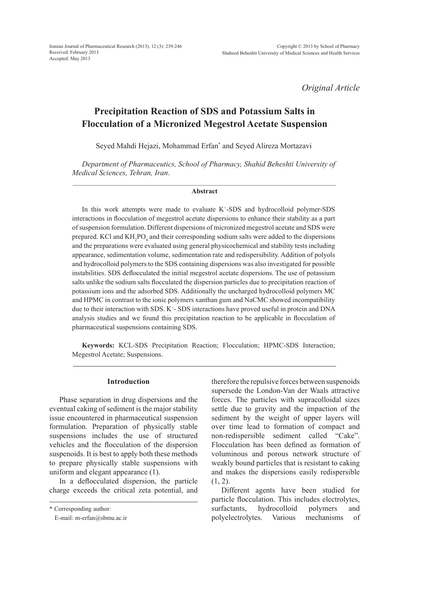Iranian Journal of Pharmaceutical Research (2013), 12 (3): 239-246 Received: February 2013 Accepted: May 2013

*Original Article*

# **Precipitation Reaction of SDS and Potassium Salts in Flocculation of a Micronized Megestrol Acetate Suspension**

Seyed Mahdi Hejazi, Mohammad Erfan\* and Seyed Alireza Mortazavi

*Department of Pharmaceutics, School of Pharmacy, Shahid Beheshti University of Medical Sciences, Tehran, Iran*.

#### **Abstract**

In this work attempts were made to evaluate  $K^+$ -SDS and hydrocolloid polymer-SDS interactions in flocculation of megestrol acetate dispersions to enhance their stability as a part of suspension formulation. Different dispersions of micronized megestrol acetate and SDS were prepared. KCl and  $KH_2PO_4$  and their corresponding sodium salts were added to the dispersions and the preparations were evaluated using general physicochemical and stability tests including appearance, sedimentation volume, sedimentation rate and redispersibility. Addition of polyols and hydrocolloid polymers to the SDS containing dispersions was also investigated for possible instabilities. SDS deflocculated the initial megestrol acetate dispersions. The use of potassium salts unlike the sodium salts flocculated the dispersion particles due to precipitation reaction of potassium ions and the adsorbed SDS. Additionally the uncharged hydrocolloid polymers MC and HPMC in contrast to the ionic polymers xanthan gum and NaCMC showed incompatibility due to their interaction with SDS. K<sup>+</sup>-SDS interactions have proved useful in protein and DNA analysis studies and we found this precipitation reaction to be applicable in flocculation of pharmaceutical suspensions containing SDS.

**Keywords:** KCL-SDS Precipitation Reaction; Flocculation; HPMC-SDS Interaction; Megestrol Acetate; Suspensions.

## **Introduction**

Phase separation in drug dispersions and the eventual caking of sediment is the major stability issue encountered in pharmaceutical suspension formulation. Preparation of physically stable suspensions includes the use of structured vehicles and the flocculation of the dispersion suspenoids. It is best to apply both these methods to prepare physically stable suspensions with uniform and elegant appearance (1).

In a deflocculated dispersion, the particle charge exceeds the critical zeta potential, and

therefore the repulsive forces between suspenoids supersede the London-Van der Waals attractive forces. The particles with supracolloidal sizes settle due to gravity and the impaction of the sediment by the weight of upper layers will over time lead to formation of compact and non-redispersible sediment called "Cake". Flocculation has been defined as formation of voluminous and porous network structure of weakly bound particles that is resistant to caking and makes the dispersions easily redispersible  $(1, 2)$ .

Different agents have been studied for particle flocculation. This includes electrolytes, surfactants, hydrocolloid polymers and polyelectrolytes. Various mechanisms of

<sup>\*</sup> Corresponding author:

E-mail: m-erfan@sbmu.ac.ir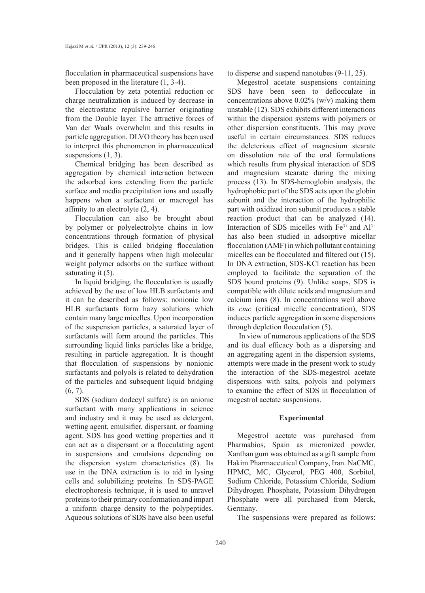flocculation in pharmaceutical suspensions have been proposed in the literature (1, 3-4).

Flocculation by zeta potential reduction or charge neutralization is induced by decrease in the electrostatic repulsive barrier originating from the Double layer. The attractive forces of Van der Waals overwhelm and this results in particle aggregation. DLVO theory has been used to interpret this phenomenon in pharmaceutical suspensions  $(1, 3)$ .

Chemical bridging has been described as aggregation by chemical interaction between the adsorbed ions extending from the particle surface and media precipitation ions and usually happens when a surfactant or macrogol has affinity to an electrolyte (2, 4).

Flocculation can also be brought about by polymer or polyelectrolyte chains in low concentrations through formation of physical bridges. This is called bridging flocculation and it generally happens when high molecular weight polymer adsorbs on the surface without saturating it  $(5)$ .

In liquid bridging, the flocculation is usually achieved by the use of low HLB surfactants and it can be described as follows: nonionic low HLB surfactants form hazy solutions which contain many large micelles. Upon incorporation of the suspension particles, a saturated layer of surfactants will form around the particles. This surrounding liquid links particles like a bridge, resulting in particle aggregation. It is thought that flocculation of suspensions by nonionic surfactants and polyols is related to dehydration of the particles and subsequent liquid bridging  $(6, 7)$ .

SDS (sodium dodecyl sulfate) is an anionic surfactant with many applications in science and industry and it may be used as detergent, wetting agent, emulsifier, dispersant, or foaming agent. SDS has good wetting properties and it can act as a dispersant or a flocculating agent in suspensions and emulsions depending on the dispersion system characteristics (8). Its use in the DNA extraction is to aid in lysing cells and solubilizing proteins. In SDS-PAGE electrophoresis technique, it is used to unravel proteins to their primary conformation and impart a uniform charge density to the polypeptides. Aqueous solutions of SDS have also been useful

to disperse and suspend nanotubes (9-11, 25).

Megestrol acetate suspensions containing SDS have been seen to deflocculate in concentrations above  $0.02\%$  (w/v) making them unstable (12). SDS exhibits different interactions within the dispersion systems with polymers or other dispersion constituents. This may prove useful in certain circumstances. SDS reduces the deleterious effect of magnesium stearate on dissolution rate of the oral formulations which results from physical interaction of SDS and magnesium stearate during the mixing process (13). In SDS-hemoglobin analysis, the hydrophobic part of the SDS acts upon the globin subunit and the interaction of the hydrophilic part with oxidized iron subunit produces a stable reaction product that can be analyzed (14). Interaction of SDS micelles with  $Fe<sup>3+</sup>$  and  $Al<sup>3+</sup>$ has also been studied in adsorptive micellar flocculation (AMF) in which pollutant containing micelles can be flocculated and filtered out (15). In DNA extraction, SDS-KCl reaction has been employed to facilitate the separation of the SDS bound proteins (9). Unlike soaps, SDS is compatible with dilute acids and magnesium and calcium ions (8). In concentrations well above its *cmc* (critical micelle concentration), SDS induces particle aggregation in some dispersions through depletion flocculation (5).

 In view of numerous applications of the SDS and its dual efficacy both as a dispersing and an aggregating agent in the dispersion systems, attempts were made in the present work to study the interaction of the SDS-megestrol acetate dispersions with salts, polyols and polymers to examine the effect of SDS in flocculation of megestrol acetate suspensions.

## **Experimental**

Megestrol acetate was purchased from Pharmabios, Spain as micronized powder. Xanthan gum was obtained as a gift sample from Hakim Pharmaceutical Company, Iran. NaCMC, HPMC, MC, Glycerol, PEG 400, Sorbitol, Sodium Chloride, Potassium Chloride, Sodium Dihydrogen Phosphate, Potassium Dihydrogen Phosphate were all purchased from Merck, Germany.

The suspensions were prepared as follows: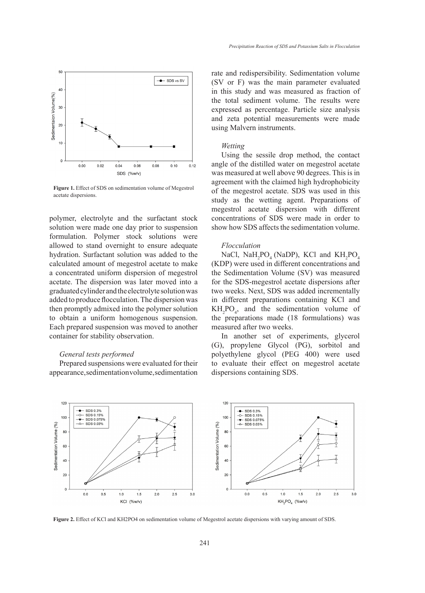

Figure 1. Effect of SDS on sedimentation volume of Megestrol acetate dispersions.

polymer, electrolyte and the surfactant stock solution were made one day prior to suspension formulation. Polymer stock solutions were allowed to stand overnight to ensure adequate hydration. Surfactant solution was added to the calculated amount of megestrol acetate to make a concentrated uniform dispersion of megestrol acetate. The dispersion was later moved into a graduated cylinder and the electrolyte solution was added to produce flocculation. The dispersion was then promptly admixed into the polymer solution to obtain a uniform homogenous suspension. Each prepared suspension was moved to another container for stability observation.

# *General tests performed*

Prepared suspensions were evaluated for their appearance, sedimentation volume, sedimentation rate and redispersibility. Sedimentation volume (SV or F) was the main parameter evaluated in this study and was measured as fraction of the total sediment volume. The results were expressed as percentage. Particle size analysis and zeta potential measurements were made using Malvern instruments.

#### *Wetting*

Using the sessile drop method, the contact angle of the distilled water on megestrol acetate was measured at well above 90 degrees. This is in agreement with the claimed high hydrophobicity of the megestrol acetate. SDS was used in this study as the wetting agent. Preparations of megestrol acetate dispersion with different concentrations of SDS were made in order to show how SDS affects the sedimentation volume.

#### *Flocculation*

NaCl,  $NaH_2PO_4$  (NaDP), KCl and  $KH_2PO_4$ (KDP) were used in different concentrations and the Sedimentation Volume (SV) was measured for the SDS-megestrol acetate dispersions after two weeks. Next, SDS was added incrementally in different preparations containing KCl and  $KH<sub>2</sub>PO<sub>4</sub>$ , and the sedimentation volume of the preparations made (18 formulations) was measured after two weeks.

In another set of experiments, glycerol (G), propylene Glycol (PG), sorbitol and polyethylene glycol (PEG 400) were used to evaluate their effect on megestrol acetate dispersions containing SDS.



**Figure 2.** Effect of KCl and KH2PO4 on sedimentation volume of Megestrol acetate dispersions with varying amount of SDS.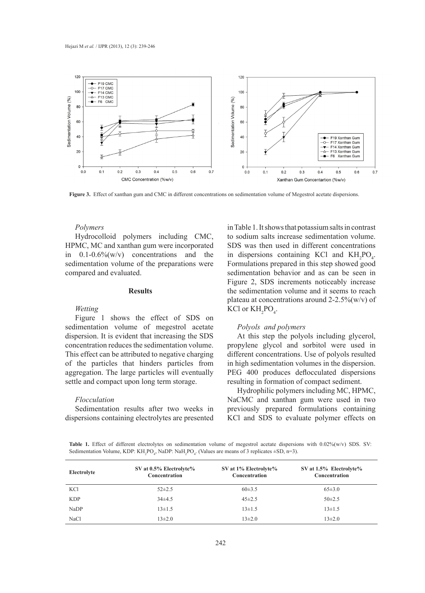

Figure 3. Effect of xanthan gum and CMC in different concentrations on sedimentation volume of Megestrol acetate dispersions.

# *Polymers*

Hydrocolloid polymers including CMC, HPMC, MC and xanthan gum were incorporated in  $0.1\n-0.6\%$ (w/v) concentrations and the sedimentation volume of the preparations were compared and evaluated.

# **Results**

## *Wetting*

Figure 1 shows the effect of SDS on sedimentation volume of megestrol acetate dispersion. It is evident that increasing the SDS concentration reduces the sedimentation volume. This effect can be attributed to negative charging of the particles that hinders particles from aggregation. The large particles will eventually settle and compact upon long term storage.

## *Flocculation*

Sedimentation results after two weeks in dispersions containing electrolytes are presented

in Table 1. It shows that potassium salts in contrast to sodium salts increase sedimentation volume. SDS was then used in different concentrations in dispersions containing KCl and  $KH_2PO_4$ . Formulations prepared in this step showed good sedimentation behavior and as can be seen in Figure 2, SDS increments noticeably increase the sedimentation volume and it seems to reach plateau at concentrations around  $2-2.5\%$  (w/v) of KCl or  $KH_{2}PO_{4}$ .

# *Polyols and polymers*

At this step the polyols including glycerol, propylene glycol and sorbitol were used in different concentrations. Use of polyols resulted in high sedimentation volumes in the dispersion. PEG 400 produces deflocculated dispersions resulting in formation of compact sediment.

Hydrophilic polymers including MC, HPMC, NaCMC and xanthan gum were used in two previously prepared formulations containing KCl and SDS to evaluate polymer effects on

**Table 1.** Effect of different electrolytes on sedimentation volume of megestrol acetate dispersions with 0.02%(w/v) SDS. SV: Sedimentation Volume, KDP: KH<sub>2</sub>PO<sub>4</sub>, NaDP: NaH<sub>2</sub>PO<sub>4</sub>. (Values are means of 3 replicates  $\pm$ SD, n=3).

| Electrolyte | SV at $0.5\%$ Electrolyte $\%$<br>Concentration | SV at 1% Electrolyte%<br>Concentration | SV at $1.5\%$ Electrolyte%<br>Concentration |
|-------------|-------------------------------------------------|----------------------------------------|---------------------------------------------|
| KCl         | $52\pm2.5$                                      | $60\pm3.5$                             | $65\pm3.0$                                  |
| <b>KDP</b>  | $34\pm4.5$                                      | $45 \pm 2.5$                           | $50\pm2.5$                                  |
| NaDP        | $13\pm1.5$                                      | $13 \pm 1.5$                           | $13\pm1.5$                                  |
| NaCl        | $13\pm2.0$                                      | $13\pm2.0$                             | $13\pm2.0$                                  |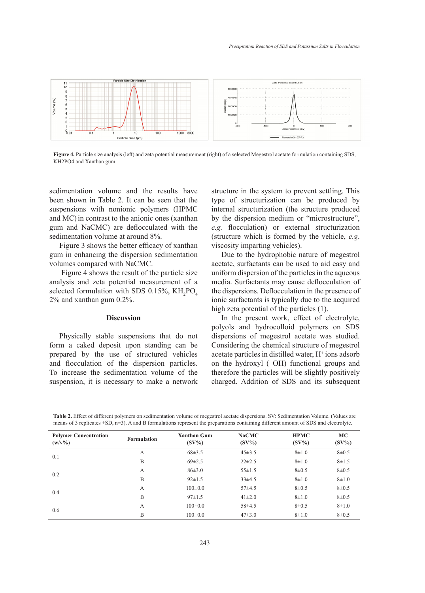

**Figure 4.** Particle size analysis (left) and zeta potential measurement (right) of a selected Megestrol acetate formulation containing SDS, KH2PO4 and Xanthan gum.

sedimentation volume and the results have been shown in Table 2. It can be seen that the suspensions with nonionic polymers (HPMC and MC) in contrast to the anionic ones (xanthan gum and NaCMC) are deflocculated with the sedimentation volume at around 8%.

Figure 3 shows the better efficacy of xanthan gum in enhancing the dispersion sedimentation volumes compared with NaCMC.

 Figure 4 shows the result of the particle size analysis and zeta potential measurement of a selected formulation with SDS 0.15%,  $KH_2PO_4$ 2% and xanthan gum 0.2%.

#### **Discussion**

Physically stable suspensions that do not form a caked deposit upon standing can be prepared by the use of structured vehicles and flocculation of the dispersion particles. To increase the sedimentation volume of the suspension, it is necessary to make a network structure in the system to prevent settling. This type of structurization can be produced by internal structurization (the structure produced by the dispersion medium or "microstructure", *e.g.* flocculation) or external structurization (structure which is formed by the vehicle, *e.g*. viscosity imparting vehicles).

Due to the hydrophobic nature of megestrol acetate, surfactants can be used to aid easy and uniform dispersion of the particles in the aqueous media. Surfactants may cause deflocculation of the dispersions. Deflocculation in the presence of ionic surfactants is typically due to the acquired high zeta potential of the particles (1).

In the present work, effect of electrolyte, polyols and hydrocolloid polymers on SDS dispersions of megestrol acetate was studied. Considering the chemical structure of megestrol acetate particles in distilled water, H<sup>+</sup> ions adsorb on the hydroxyl (–OH) functional groups and therefore the particles will be slightly positively charged. Addition of SDS and its subsequent

| Table 2. Effect of different polymers on sedimentation volume of megestrol acetate dispersions. SV: Sedimentation Volume. (Values are     |  |
|-------------------------------------------------------------------------------------------------------------------------------------------|--|
| means of 3 replicates $\pm$ SD, n=3). A and B formulations represent the preparations containing different amount of SDS and electrolyte. |  |

| <b>Polymer Concentration</b><br>$(w/v\%)$ | <b>Formulation</b> | <b>Xanthan Gum</b><br>$(SV\%)$ | <b>NaCMC</b><br>$(SV\%)$ | <b>HPMC</b><br>$(SV\%)$ | <b>MC</b><br>$(SV\%)$ |
|-------------------------------------------|--------------------|--------------------------------|--------------------------|-------------------------|-----------------------|
| 0.1                                       | A                  | $68 \pm 3.5$                   | $45 \pm 3.5$             | $8 + 1.0$               | $8 + 0.5$             |
|                                           | B                  | $69\pm2.5$                     | $22 \pm 2.5$             | $8\pm1.0$               | $8 \pm 1.5$           |
| 0.2                                       | А                  | $86\pm3.0$                     | $55 \pm 1.5$             | $8\pm 0.5$              | $8 + 0.5$             |
|                                           | B                  | $92 \pm 1.5$                   | $33\pm4.5$               | $8 + 1.0$               | $8 + 1.0$             |
|                                           | A                  | $100\pm0.0$                    | $57+4.5$                 | $8\pm 0.5$              | $8 + 0.5$             |
| 0.4                                       | B                  | $97 \pm 1.5$                   | $41\pm2.0$               | $8 + 1.0$               | $8 + 0.5$             |
|                                           | A                  | $100\pm0.0$                    | $58+4.5$                 | $8\pm 0.5$              | $8 + 1.0$             |
| 0.6                                       | B                  | $100 \pm 0.0$                  | $47\pm3.0$               | $8 + 1.0$               | $8\pm 0.5$            |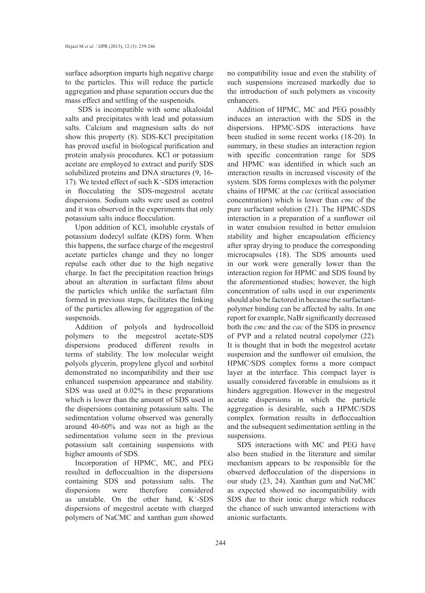surface adsorption imparts high negative charge to the particles. This will reduce the particle aggregation and phase separation occurs due the mass effect and settling of the suspenoids.

 SDS is incompatible with some alkaloidal salts and precipitates with lead and potassium salts. Calcium and magnesium salts do not show this property (8). SDS-KCl precipitation has proved useful in biological purification and protein analysis procedures. KCl or potassium acetate are employed to extract and purify SDS solubilized proteins and DNA structures (9, 16- 17). We tested effect of such  $K^+$ -SDS interaction in flocculating the SDS-megestrol acetate dispersions. Sodium salts were used as control and it was observed in the experiments that only potassium salts induce flocculation.

Upon addition of KCl, insoluble crystals of potassium dodecyl sulfate (KDS) form. When this happens, the surface charge of the megestrol acetate particles change and they no longer repulse each other due to the high negative charge. In fact the precipitation reaction brings about an alteration in surfactant films about the particles which unlike the surfactant film formed in previous steps, facilitates the linking of the particles allowing for aggregation of the suspenoids.

Addition of polyols and hydrocolloid polymers to the megestrol acetate-SDS dispersions produced different results in terms of stability. The low molecular weight polyols glycerin, propylene glycol and sorbitol demonstrated no incompatibility and their use enhanced suspension appearance and stability. SDS was used at 0.02% in these preparations which is lower than the amount of SDS used in the dispersions containing potassium salts. The sedimentation volume observed was generally around 40-60% and was not as high as the sedimentation volume seen in the previous potassium salt containing suspensions with higher amounts of SDS.

Incorporation of HPMC, MC, and PEG resulted in defloccualtion in the dispersions containing SDS and potassium salts. The dispersions were therefore considered as unstable. On the other hand, K+ -SDS dispersions of megestrol acetate with charged polymers of NaCMC and xanthan gum showed no compatibility issue and even the stability of such suspensions increased markedly due to the introduction of such polymers as viscosity enhancers.

Addition of HPMC, MC and PEG possibly induces an interaction with the SDS in the dispersions. HPMC-SDS interactions have been studied in some recent works (18-20). In summary, in these studies an interaction region with specific concentration range for SDS and HPMC was identified in which such an interaction results in increased viscosity of the system. SDS forms complexes with the polymer chains of HPMC at the *cac* (critical association concentration) which is lower than *cmc* of the pure surfactant solution (21). The HPMC-SDS interaction in a preparation of a sunflower oil in water emulsion resulted in better emulsion stability and higher encapsulation efficiency after spray drying to produce the corresponding microcapsules (18). The SDS amounts used in our work were generally lower than the interaction region for HPMC and SDS found by the aforementioned studies; however, the high concentration of salts used in our experiments should also be factored in because the surfactantpolymer binding can be affected by salts. In one report for example, NaBr significantly decreased both the *cmc* and the *cac* of the SDS in presence of PVP and a related neutral copolymer (22). It is thought that in both the megestrol acetate suspension and the sunflower oil emulsion, the HPMC/SDS complex forms a more compact layer at the interface. This compact layer is usually considered favorable in emulsions as it hinders aggregation. However in the megestrol acetate dispersions in which the particle aggregation is desirable, such a HPMC/SDS complex formation results in defloccualtion and the subsequent sedimentation settling in the suspensions.

SDS interactions with MC and PEG have also been studied in the literature and similar mechanism appears to be responsible for the observed deflocculation of the dispersions in our study (23, 24). Xanthan gum and NaCMC as expected showed no incompatibility with SDS due to their ionic charge which reduces the chance of such unwanted interactions with anionic surfactants.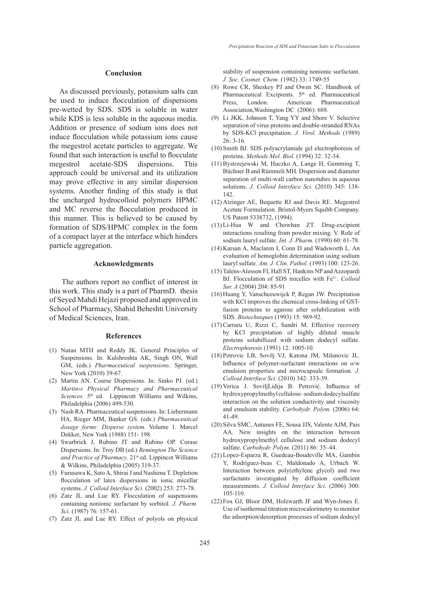## **Conclusion**

As discussed previously, potassium salts can be used to induce flocculation of dispersions pre-wetted by SDS. SDS is soluble in water while KDS is less soluble in the aqueous media. Addition or presence of sodium ions does not induce flocculation while potassium ions cause the megestrol acetate particles to aggregate. We found that such interaction is useful to flocculate megestrol acetate-SDS dispersions. This approach could be universal and its utilization may prove effective in any similar dispersion systems. Another finding of this study is that the uncharged hydrocolloid polymers HPMC and MC reverse the flocculation produced in this manner. This is believed to be caused by formation of SDS/HPMC complex in the form of a compact layer at the interface which hinders particle aggregation.

# **Acknowledgments**

 The authors report no conflict of interest in this work. This study is a part of PharmD. thesis of Seyed Mahdi Hejazi proposed and approved in School of Pharmacy, Shahid Beheshti University of Medical Sciences, Iran.

#### **References**

- (1) Nutan MTH and Reddy IK. General Principles of Suspensions. In: Kulshreshta AK, Singh ON, Wall GM, (eds.) *Pharmaceutical suspensions*. Springer, New York (2010) 39-67.
- (2) Martin AN. Coarse Dispersions. In: Sinko PJ. (ed.) *Martin›s Physical Pharmacy and Pharmaceutical Sciences*. 5th ed. Lippincott Williams and Wilkins, Philadelphia (2006) 499-530.
- (3) Nash RA. Pharmaceutical suspensions. In: Liebermann HA, Rieger MM, Banker GS. (eds.) *Pharmaceutical dosage forms: Disperse system*. Volume 1. Marcel Dekker, New York (1988) 151- 198.
- Swarbrick J, Rubino JT and Rubino OP. Corase (4) Dispersions. In: Troy DB (ed.) *Remington The Science*  and Practice of Pharmacy. 21<sup>st</sup> ed. Lippincot Williams & Wilkins, Philadelphia (2005) 319-37.
- Furusawa K, Sato A, Shirai J and Nashima T. Depletion (5) flocculation of latex dispersions in ionic micellar systems. *J. Colloid Interface Sci.* (2002) 253: 273-78.
- (6) Zatz JL and Lue RY. Flocculation of suspensions containing nonionic surfactant by sorbitol. *J. Pharm. Sci.* (1987) 76: 157-61.
- (7) Zatz JL and Lue RY. Effect of polyols on physical

stability of suspension containing nonionic surfactant. *J. Soc. Cosmet. Chem.* (1982) 33: 1749-55

- (8) Rowe CR, Sheskey PJ and Owen SC. Handbook of Pharmaceutical Excipients. 5<sup>th</sup> ed. Pharmaceutical Press, London. American Pharmaceutical Association,Washington DC (2006): 688.
- Li JKK, Johnson T, Yang YY and Shore V. Selective (9) separation of virus proteins and double-stranded RNAs by SDS-KCl precipitation. *J. Virol. Methods* (1989) 26: 3-16.
- (10) Smith BJ. SDS polyacrylamide gel electrophoresis of proteins. *Methods Mol. Biol.* (1994) 32: 32-34.
- Bystrzejewski M, Huczko A, Lange H, Gemming T, (11) Büchner B and Rümmeli MH. Dispersion and diameter separation of multi-wall carbon nanotubes in aqueous solutions. *J. Colloid Interface Sci.* (2010) 345: 138- 142.
- Atzinger AE, Bequette RJ and Davis RE. Megestrol (12) Acetate Formulation. Bristol-Myers Squibb Company. US Patent 5338732, (1994).
- Li-Hua W and Chowhan ZT. Drug-excipient (13) interactions resulting from powder mixing. V. Role of sodium lauryl sulfate. *Int. J. Pharm.* (1990) 60: 61-78.
- (14) Karsan A, Maclaren I, Conn D and Wadsworth L. An evaluation of hemoglobin determination using sodium lauryl sulfate. *Am. J. Clin. Pathol.* (1993) 100: 123-26.
- (15) Talens-Alesson FI, Hall ST, Hankins NP and Azzopardi BJ. Flocculation of SDS micelles with Fe3+. *Colloid Sur. A* (2004) 204: 85-91
- (16) Huang Y, Vanscheeuwijck P, Regan JW. Precipitation with KCl improves the chemical cross-linking of GSTfusion proteins to agarose after solubilization with SDS. *Biotechniques* (1993) 15: 989-92.
- (17) Carraru U, Rizzi C, Sandri M. Effective recovery by KCl precipitation of highly diluted muscle proteins solubillized with sodium dodecyl sulfate. *Electrophoresis* (1991) 12: 1005-10.
- Petrovic LB, Sovilj VJ, Katona JM, Milanovic JL. (18) Influence of polymer-surfactant interactions on o/w emulsion properties and microcapsule formation. *J. Colloid Interface Sci.* (2010) 342: 333-39.
- (19) Verica J. SoviljLidija B. Petrović. Influence of hydroxypropylmethyl cellulose–sodium dodecylsulfate interaction on the solution conductivity and viscosity and emulsion stability. *Carbohydr. Polym.* (2006) 64: 41-49.
- (20) Silva SMC, Antunes FE, Sousa JJS, Valente AJM, Pais AA. New insights on the interaction between hydroxypropylmethyl cellulose and sodium dodecyl sulfate. *Carbohydr. Polym.* (2011) 86: 35–44.
- (21) Lopez-Esparza R, Guedeau-Boudeville MA, Gambin Y, Rodriguez-beas C, Maldonado A, Urbach W. Interaction between poly(ethylene glycol) and two surfactants investigated by diffusion coefficient measurements. *J. Colloid Interface Sci.* (2006) 300: 105-110.
- $(22)$  Fox GJ, Bloor DM, Holzwarth JF and Wyn-Jones E. Use of isothermal titration microcalorimetry to monitor the adsorption/desorption processes of sodium dodecyl